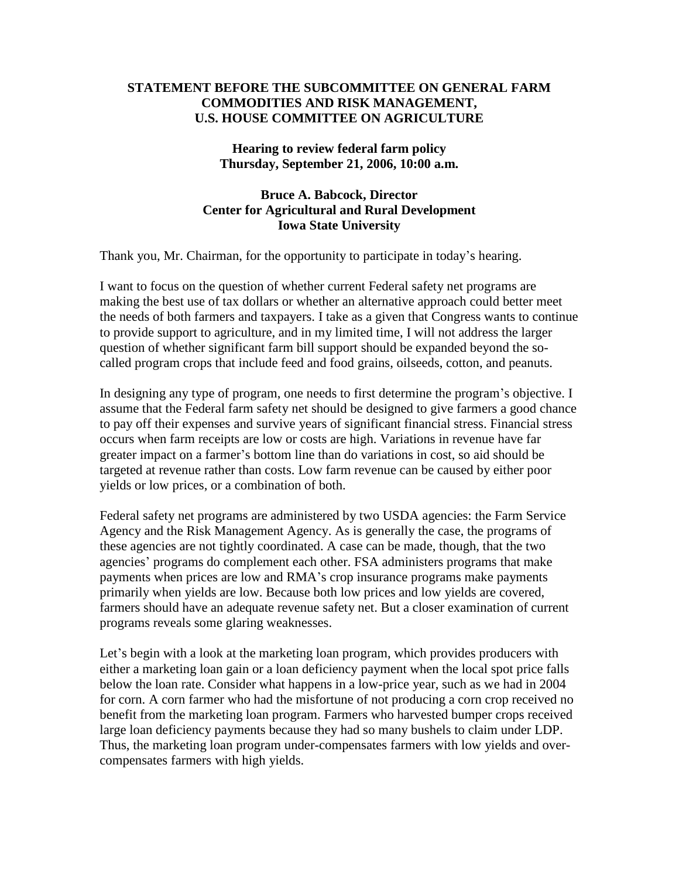## **STATEMENT BEFORE THE SUBCOMMITTEE ON GENERAL FARM COMMODITIES AND RISK MANAGEMENT, U.S. HOUSE COMMITTEE ON AGRICULTURE**

## **Hearing to review federal farm policy Thursday, September 21, 2006, 10:00 a.m.**

## **Bruce A. Babcock, Director Center for Agricultural and Rural Development Iowa State University**

Thank you, Mr. Chairman, for the opportunity to participate in today's hearing.

I want to focus on the question of whether current Federal safety net programs are making the best use of tax dollars or whether an alternative approach could better meet the needs of both farmers and taxpayers. I take as a given that Congress wants to continue to provide support to agriculture, and in my limited time, I will not address the larger question of whether significant farm bill support should be expanded beyond the socalled program crops that include feed and food grains, oilseeds, cotton, and peanuts.

In designing any type of program, one needs to first determine the program's objective. I assume that the Federal farm safety net should be designed to give farmers a good chance to pay off their expenses and survive years of significant financial stress. Financial stress occurs when farm receipts are low or costs are high. Variations in revenue have far greater impact on a farmer's bottom line than do variations in cost, so aid should be targeted at revenue rather than costs. Low farm revenue can be caused by either poor yields or low prices, or a combination of both.

Federal safety net programs are administered by two USDA agencies: the Farm Service Agency and the Risk Management Agency. As is generally the case, the programs of these agencies are not tightly coordinated. A case can be made, though, that the two agencies'programs do complement each other. FSA administers programs that make payments when prices are low and RMA's crop insurance programs make payments primarily when yields are low. Because both low prices and low yields are covered, farmers should have an adequate revenue safety net. But a closer examination of current programs reveals some glaring weaknesses.

Let's begin with a look at the marketing loan program, which provides producers with either a marketing loan gain or a loan deficiency payment when the local spot price falls below the loan rate. Consider what happens in a low-price year, such as we had in 2004 for corn. A corn farmer who had the misfortune of not producing a corn crop received no benefit from the marketing loan program. Farmers who harvested bumper crops received large loan deficiency payments because they had so many bushels to claim under LDP. Thus, the marketing loan program under-compensates farmers with low yields and overcompensates farmers with high yields.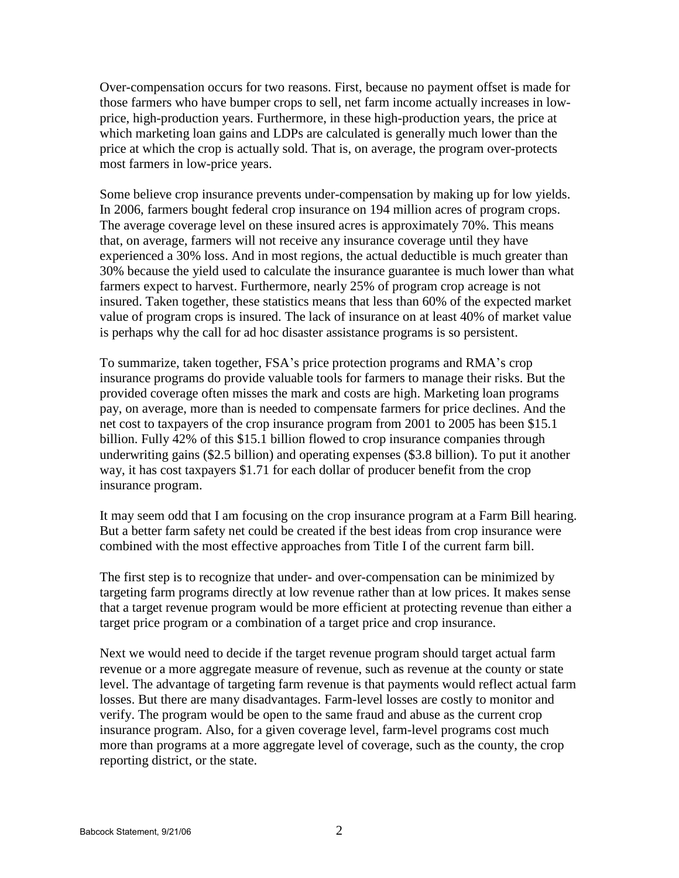Over-compensation occurs for two reasons. First, because no payment offset is made for those farmers who have bumper crops to sell, net farm income actually increases in lowprice, high-production years. Furthermore, in these high-production years, the price at which marketing loan gains and LDPs are calculated is generally much lower than the price at which the crop is actually sold. That is, on average, the program over-protects most farmers in low-price years.

Some believe crop insurance prevents under-compensation by making up for low yields. In 2006, farmers bought federal crop insurance on 194 million acres of program crops. The average coverage level on these insured acres is approximately 70%. This means that, on average, farmers will not receive any insurance coverage until they have experienced a 30% loss. And in most regions, the actual deductible is much greater than 30% because the yield used to calculate the insurance guarantee is much lower than what farmers expect to harvest. Furthermore, nearly 25% of program crop acreage is not insured. Taken together, these statistics means that less than 60% of the expected market value of program crops is insured. The lack of insurance on at least 40% of market value is perhaps why the call for ad hoc disaster assistance programs is so persistent.

To summarize, taken together, FSA's price protection programs and RMA's crop insurance programs do provide valuable tools for farmers to manage their risks. But the provided coverage often misses the mark and costs are high. Marketing loan programs pay, on average, more than is needed to compensate farmers for price declines. And the net cost to taxpayers of the crop insurance program from 2001 to 2005 has been \$15.1 billion. Fully 42% of this \$15.1 billion flowed to crop insurance companies through underwriting gains (\$2.5 billion) and operating expenses (\$3.8 billion). To put it another way, it has cost taxpayers \$1.71 for each dollar of producer benefit from the crop insurance program.

It may seem odd that I am focusing on the crop insurance program at a Farm Bill hearing. But a better farm safety net could be created if the best ideas from crop insurance were combined with the most effective approaches from Title I of the current farm bill.

The first step is to recognize that under- and over-compensation can be minimized by targeting farm programs directly at low revenue rather than at low prices. It makes sense that a target revenue program would be more efficient at protecting revenue than either a target price program or a combination of a target price and crop insurance.

Next we would need to decide if the target revenue program should target actual farm revenue or a more aggregate measure of revenue, such as revenue at the county or state level. The advantage of targeting farm revenue is that payments would reflect actual farm losses. But there are many disadvantages. Farm-level losses are costly to monitor and verify. The program would be open to the same fraud and abuse as the current crop insurance program. Also, for a given coverage level, farm-level programs cost much more than programs at a more aggregate level of coverage, such as the county, the crop reporting district, or the state.